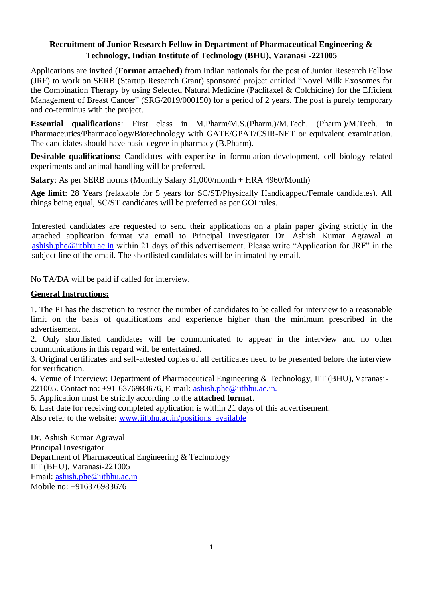## **Recruitment of Junior Research Fellow in Department of Pharmaceutical Engineering & Technology, Indian Institute of Technology (BHU), Varanasi -221005**

Applications are invited (**Format attached**) from Indian nationals for the post of Junior Research Fellow (JRF) to work on SERB (Startup Research Grant) sponsored project entitled "Novel Milk Exosomes for the Combination Therapy by using Selected Natural Medicine (Paclitaxel & Colchicine) for the Efficient Management of Breast Cancer" (SRG/2019/000150) for a period of 2 years. The post is purely temporary and co-terminus with the project.

**Essential qualifications**: First class in M.Pharm/M.S.(Pharm.)/M.Tech. (Pharm.)/M.Tech. in Pharmaceutics/Pharmacology/Biotechnology with GATE/GPAT/CSIR-NET or equivalent examination. The candidates should have basic degree in pharmacy (B.Pharm).

**Desirable qualifications:** Candidates with expertise in formulation development, cell biology related experiments and animal handling will be preferred.

**Salary**: As per SERB norms (Monthly Salary 31,000/month + HRA 4960/Month)

**Age limit**: 28 Years (relaxable for 5 years for SC/ST/Physically Handicapped/Female candidates). All things being equal, SC/ST candidates will be preferred as per GOI rules.

Interested candidates are requested to send their applications on a plain paper giving strictly in the attached application format via email to Principal Investigator Dr. Ashish Kumar Agrawal at [ashish.phe@iitbhu.ac.in](mailto:ashish.phe@iitbhu.ac.in) within 21 days of this advertisement. Please write "Application for JRF" in the subject line of the email. The shortlisted candidates will be intimated by email.

No TA/DA will be paid if called for interview.

## **General Instructions:**

1. The PI has the discretion to restrict the number of candidates to be called for interview to a reasonable limit on the basis of qualifications and experience higher than the minimum prescribed in the advertisement.

2. Only shortlisted candidates will be communicated to appear in the interview and no other communications in this regard will be entertained.

3. Original certificates and self-attested copies of all certificates need to be presented before the interview for verification.

4. Venue of Interview: Department of Pharmaceutical Engineering & Technology, IIT (BHU), Varanasi-221005. Contact no: +91-6376983676, E-mail: ashish.ph[e@iitbhu.ac.in.](mailto:gpmodi.phe@itbhu.ac.in)

5. Application must be strictly according to the **attached format**.

6. Last date for receiving completed application is within 21 days of this advertisement.

Also refer to the website: [www.iitbhu.ac.in/positions\\_available](http://www.iitbhu.ac.in/positions_available)

Dr. Ashish Kumar Agrawal Principal Investigator Department of Pharmaceutical Engineering & Technology IIT (BHU), Varanasi-221005 Email: [ashish.phe@iitbhu.ac.in](mailto:ashish.phe@iitbhu.ac.in) Mobile no: +916376983676